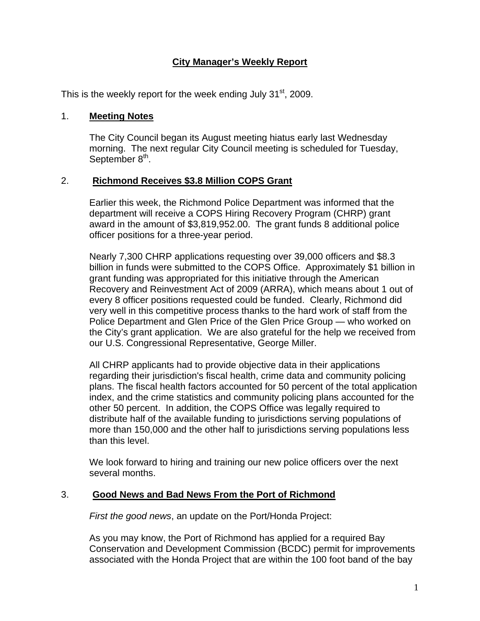# **City Manager's Weekly Report**

This is the weekly report for the week ending July  $31<sup>st</sup>$ , 2009.

### 1. **Meeting Notes**

The City Council began its August meeting hiatus early last Wednesday morning. The next regular City Council meeting is scheduled for Tuesday, September 8<sup>th</sup>.

## 2. **Richmond Receives \$3.8 Million COPS Grant**

Earlier this week, the Richmond Police Department was informed that the department will receive a COPS Hiring Recovery Program (CHRP) grant award in the amount of \$3,819,952.00. The grant funds 8 additional police officer positions for a three-year period.

Nearly 7,300 CHRP applications requesting over 39,000 officers and \$8.3 billion in funds were submitted to the COPS Office. Approximately \$1 billion in grant funding was appropriated for this initiative through the American Recovery and Reinvestment Act of 2009 (ARRA), which means about 1 out of every 8 officer positions requested could be funded. Clearly, Richmond did very well in this competitive process thanks to the hard work of staff from the Police Department and Glen Price of the Glen Price Group — who worked on the City's grant application. We are also grateful for the help we received from our U.S. Congressional Representative, George Miller.

All CHRP applicants had to provide objective data in their applications regarding their jurisdiction's fiscal health, crime data and community policing plans. The fiscal health factors accounted for 50 percent of the total application index, and the crime statistics and community policing plans accounted for the other 50 percent. In addition, the COPS Office was legally required to distribute half of the available funding to jurisdictions serving populations of more than 150,000 and the other half to jurisdictions serving populations less than this level.

We look forward to hiring and training our new police officers over the next several months.

# 3. **Good News and Bad News From the Port of Richmond**

*First the good news*, an update on the Port/Honda Project:

As you may know, the Port of Richmond has applied for a required Bay Conservation and Development Commission (BCDC) permit for improvements associated with the Honda Project that are within the 100 foot band of the bay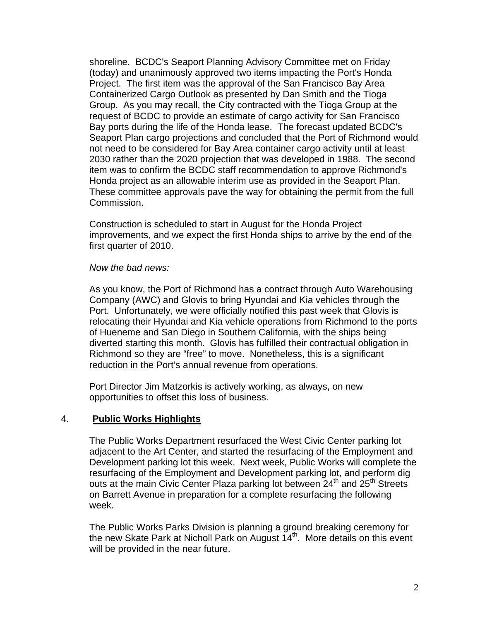shoreline. BCDC's Seaport Planning Advisory Committee met on Friday (today) and unanimously approved two items impacting the Port's Honda Project. The first item was the approval of the San Francisco Bay Area Containerized Cargo Outlook as presented by Dan Smith and the Tioga Group. As you may recall, the City contracted with the Tioga Group at the request of BCDC to provide an estimate of cargo activity for San Francisco Bay ports during the life of the Honda lease. The forecast updated BCDC's Seaport Plan cargo projections and concluded that the Port of Richmond would not need to be considered for Bay Area container cargo activity until at least 2030 rather than the 2020 projection that was developed in 1988. The second item was to confirm the BCDC staff recommendation to approve Richmond's Honda project as an allowable interim use as provided in the Seaport Plan. These committee approvals pave the way for obtaining the permit from the full Commission.

Construction is scheduled to start in August for the Honda Project improvements, and we expect the first Honda ships to arrive by the end of the first quarter of 2010.

#### *Now the bad news:*

As you know, the Port of Richmond has a contract through Auto Warehousing Company (AWC) and Glovis to bring Hyundai and Kia vehicles through the Port. Unfortunately, we were officially notified this past week that Glovis is relocating their Hyundai and Kia vehicle operations from Richmond to the ports of Hueneme and San Diego in Southern California, with the ships being diverted starting this month. Glovis has fulfilled their contractual obligation in Richmond so they are "free" to move. Nonetheless, this is a significant reduction in the Port's annual revenue from operations.

Port Director Jim Matzorkis is actively working, as always, on new opportunities to offset this loss of business.

#### 4. **Public Works Highlights**

The Public Works Department resurfaced the West Civic Center parking lot adjacent to the Art Center, and started the resurfacing of the Employment and Development parking lot this week. Next week, Public Works will complete the resurfacing of the Employment and Development parking lot, and perform dig outs at the main Civic Center Plaza parking lot between  $24<sup>th</sup>$  and  $25<sup>th</sup>$  Streets on Barrett Avenue in preparation for a complete resurfacing the following week.

The Public Works Parks Division is planning a ground breaking ceremony for the new Skate Park at Nicholl Park on August 14<sup>th</sup>. More details on this event will be provided in the near future.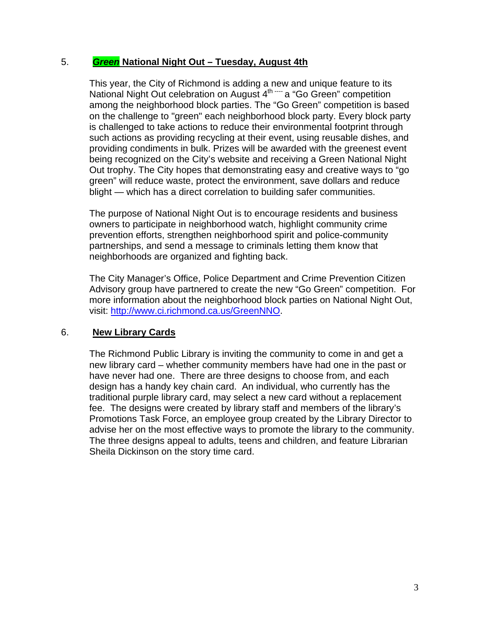### 5. *Green* **National Night Out – Tuesday, August 4th**

This year, the City of Richmond is adding a new and unique feature to its National Night Out celebration on August  $4^{\text{th}}$   $-$  a "Go Green" competition among the neighborhood block parties. The "Go Green" competition is based on the challenge to "green" each neighborhood block party. Every block party is challenged to take actions to reduce their environmental footprint through such actions as providing recycling at their event, using reusable dishes, and providing condiments in bulk. Prizes will be awarded with the greenest event being recognized on the City's website and receiving a Green National Night Out trophy. The City hopes that demonstrating easy and creative ways to "go green" will reduce waste, protect the environment, save dollars and reduce blight — which has a direct correlation to building safer communities.

The purpose of National Night Out is to encourage residents and business owners to participate in neighborhood watch, highlight community crime prevention efforts, strengthen neighborhood spirit and police-community partnerships, and send a message to criminals letting them know that neighborhoods are organized and fighting back.

The City Manager's Office, Police Department and Crime Prevention Citizen Advisory group have partnered to create the new "Go Green" competition. For more information about the neighborhood block parties on National Night Out, visit:<http://www.ci.richmond.ca.us/GreenNNO>.

#### 6. **New Library Cards**

The Richmond Public Library is inviting the community to come in and get a new library card – whether community members have had one in the past or have never had one. There are three designs to choose from, and each design has a handy key chain card. An individual, who currently has the traditional purple library card, may select a new card without a replacement fee. The designs were created by library staff and members of the library's Promotions Task Force, an employee group created by the Library Director to advise her on the most effective ways to promote the library to the community. The three designs appeal to adults, teens and children, and feature Librarian Sheila Dickinson on the story time card.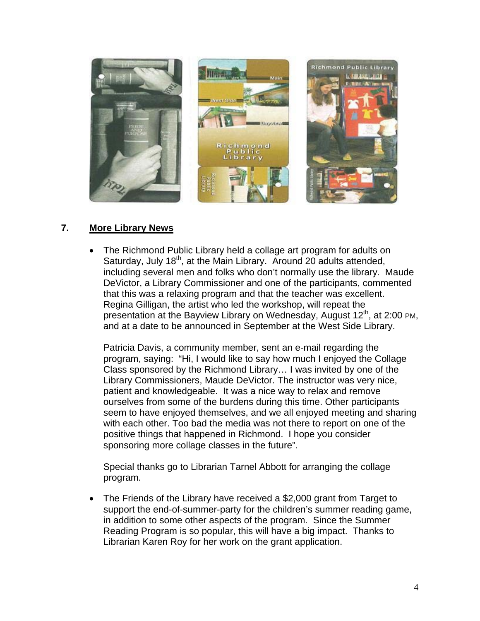

#### **7. More Library News**

 The Richmond Public Library held a collage art program for adults on Saturday, July 18<sup>th</sup>, at the Main Library. Around 20 adults attended, including several men and folks who don't normally use the library. Maude DeVictor, a Library Commissioner and one of the participants, commented that this was a relaxing program and that the teacher was excellent. Regina Gilligan, the artist who led the workshop, will repeat the presentation at the Bayview Library on Wednesday, August 12<sup>th</sup>, at 2:00 PM, and at a date to be announced in September at the West Side Library.

Patricia Davis, a community member, sent an e-mail regarding the program, saying: "Hi, I would like to say how much I enjoyed the Collage Class sponsored by the Richmond Library… I was invited by one of the Library Commissioners, Maude DeVictor. The instructor was very nice, patient and knowledgeable. It was a nice way to relax and remove ourselves from some of the burdens during this time. Other participants seem to have enjoyed themselves, and we all enjoyed meeting and sharing with each other. Too bad the media was not there to report on one of the positive things that happened in Richmond. I hope you consider sponsoring more collage classes in the future".

Special thanks go to Librarian Tarnel Abbott for arranging the collage program.

 The Friends of the Library have received a \$2,000 grant from Target to support the end-of-summer-party for the children's summer reading game, in addition to some other aspects of the program. Since the Summer Reading Program is so popular, this will have a big impact. Thanks to Librarian Karen Roy for her work on the grant application.